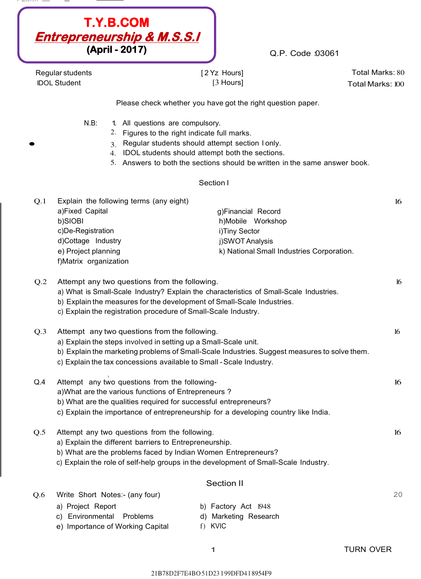| $\sim$ | $- - - - - - - -$ | ____ | $\overline{\phantom{a}}$ |  |
|--------|-------------------|------|--------------------------|--|
|        |                   |      |                          |  |



Q.P. Code :03061

Regular students IDOL Student

[ 2 Yz Hours] [3 Hours]

Total Marks: 80 Total Marks: 100

Please check whether you have got the right question paper.

 $N.B$ :

- All questions are compulsory.
	- 2. Figures to the right indicate full marks.
- $\bullet$  3.<br>3.<br>3. Regular students should attempt section I only.
	- 4. IDOL students should attempt both the sections.
	- 5. Answers to both the sections should be written in the same answer book.

### Section I

| O.1 | Explain the following terms (any eight) |                                           |  |
|-----|-----------------------------------------|-------------------------------------------|--|
|     | a)Fixed Capital                         | g)Financial Record                        |  |
|     | b)SIOBI                                 | h)Mobile Workshop                         |  |
|     | c)De-Registration                       | i)Tiny Sector                             |  |
|     | d)Cottage Industry                      | j)SWOT Analysis                           |  |
|     | e) Project planning                     | k) National Small Industries Corporation. |  |
|     | f)Matrix organization                   |                                           |  |

| Q.2 | Attempt any two questions from the following.                                                |    |  |
|-----|----------------------------------------------------------------------------------------------|----|--|
|     | a) What is Small-Scale Industry? Explain the characteristics of Small-Scale Industries.      |    |  |
|     | b) Explain the measures for the development of Small-Scale Industries.                       |    |  |
|     | c) Explain the registration procedure of Small-Scale Industry.                               |    |  |
| Q.3 | Attempt any two questions from the following.                                                | 16 |  |
|     | a) Explain the steps involved in setting up a Small-Scale unit.                              |    |  |
|     | b) Explain the marketing problems of Small-Scale Industries. Suggest measures to solve them. |    |  |
|     | c) Explain the tax concessions available to Small - Scale Industry.                          |    |  |
| Q.4 | Attempt any two questions from the following-                                                | 16 |  |
|     | a) What are the various functions of Entrepreneurs?                                          |    |  |

b) What are the qualities required for successful entrepreneurs?

c) Explain the importance of entrepreneurship for a developing country like India.

- Q.5 Attempt any two questions from the following. a) Explain the different barriers to Entrepreneurship.
	- b) What are the problems faced by Indian Women Entrepreneurs?
	- c) Explain the role of self-help groups in the development of Small-Scale Industry.

## Section II

20

16

Q.6 Write Short Notes:- (any four)

c) Environmental Problems

a) Project Report

- b) Factory Act 1948 d) Marketing Research
- e) Importance of Working Capital

f) KVIC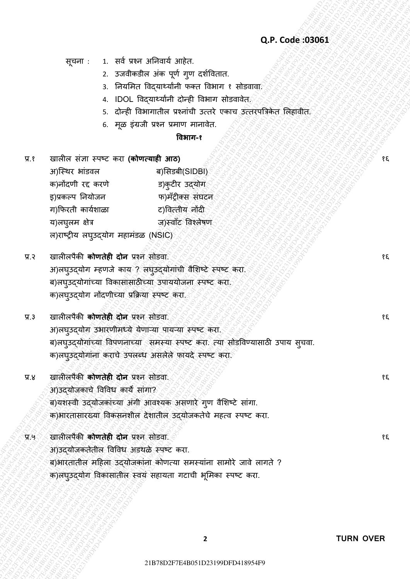## **Q.P. Code :03061**

सूचना : 1. सर्व प्रश्न अनिवार्य आहेत.

- 2. उजवीकडील अंक पूर्ण गुण दर्शवितात.
- 3. नियमित विदयार्थ्यांनी फक्त विभाग १ सोडवावा
- 4. IDOL विदयार्थ्यांनी दोन्ही विभाग सोडवावेत.
- 5. दोन्ही विभागातील प्रश्नांची उत्तरे एकाच उत्तरपत्रिकेत लिहावीत.
- 6. मूळ इंग्रजी प्रश्न प्रमाण मानावेत.

### **विभाग-१**

- 22218 : 1. 24 043 30 million 221 conce:::30 0.04 code::30061<br>
2. 27 code::30061<br>
2. 27 code:200419 concer concerned and concerned and<br>
4. 20 code:200419 concerned and concerned and concerned and<br>
2. 27 code:300 concerned  $Q.P. Code: 9.9961  
\n2.22781827  
\n2.229827  
\n3.29997  
\n4.10021  
\n5.29997  
\n6.20183  
\n7.29997  
\n8.29997  
\n9.29997  
\n1.29997  
\n1.29997  
\n1.29997  
\n2.2999  
\n3.29997  
\n4.29997  
\n5.2999  
\n6.2999  
\n7.2999  
\n8.2999  
\n9.2999  
\n9.299$ 2029. Code: 039651<br>
2234764854 is equivalent internal product effects.<br>
2234764854 is equivalent internal fields the state of anti-<br>
420051 is equivalent internal fields the state of anti-<br>
5276 f83976454 is equivalent in 22187: 1. 1 and then a France and correspondent control and the material and the material and the material and the material and the material and the material and the material and the material and the material and the mate Q.P. Code 30061<br>
2. Scraftsbes and get grid distribute into the finance is control the screen of the screen of the screen of the screen of the screen of the screen of the screen of the screen of the screen of the screen o 2022<br>21 B78 D2 Andrea Bottom, 221 B78D251 D2 Andrea Bottom, 23 B78D251<br>2. Concerned and the material concerned and the material concerned and the material concerned and the material concerned and the concernent and the ma 2218 221 B4 SN7 303445 3D6.1<br>
2. Starfording air of the principal set of the principal set of the principal set of the principal set of the principal set of the set of the principal set of the principal set of the princip 21B78D2F7E4B051D23199DFD418954F921B78D2F7E4B051D23199DFD418954F921B78D2F7E4B051D23199DFD418954F921B78D2F7E4B051D23199DFD418954F921B78D2F7E4B051D23199DFD418954F921B78D2F7E4B051D23199DFD418954F9 21B78D2F7E4B051D23199DFD418954F921B78D2F7E4B051D23199DFD418954F921B78D2F7E4B051D23199DFD418954F921B78D2F7E4B051D23199DFD418954F921B78D2F7E4B051D23199DFD418954F921B78D2F7E4B051D23199DFD418954F9 21B78D2F7E4B051D23199DFD418954F921B78D2F7E4B051D23199DFD418954F921B78D2F7E4B051D23199DFD418954F921B78D2F7E4B051D23199DFD418954F921B78D2F7E4B051D23199DFD418954F921B78D2F7E4B051D23199DFD418954F9 Q.P. Code 03063<br>
227 Code 03063<br>
227 Code 03063<br>
237 Code of the properties with contrast<br>
237 Code of the properties with the contrast and contrast<br>
238 Code of the properties with the contrast and contrast and contrast 227  $\frac{1}{2}$  and veta address above as the matrix of the state of the state of the state of the state of the state of the state of the state of the state of the state of the state of the state of the state of the state o 21B78D2F7E4B051D23199DFD418954F921B78D2F7E4B051D23199DFD418954F921B78D2F7E4B051D23199DFD418954F921B78D2F7E4B051D23199DFD418954F921B78D2F7E4B051D23199DFD418954F921B78D2F7E4B051D23199DFD418954F9 227E4B1 1. and other adventure and the contents of the contents of the contents of the contents of the contents of the contents of the contents of the contents of the contents of the contents of the contents of the conten 21B78D2F7E4B051D23199DFD418954F921B78D2F7E4B051D23199DFD418954F921B78D2F7E4B051D23199DFD418954F921B78D2F7E4B051D23199DFD418954F921B78D2F7E4B051D23199DFD418954F921B78D2F7E4B051D23199DFD418954F9 2218 DFR 21 and the state of the state of the state of the state of the state of the state of the state of the state of the state of the state of the state of the state of the state of the state of the state of the state 22199DF1 1 and even sufficient state of Proposition Conde 2006101<br>
2. Scraft African Life of Proposition Case Theories Theories<br>
4. DCD Regards on each finance from the state of Case Theories<br>
4. Conde Enterpret are conde 21B78D2F7E4B051D23199DFD418954F921B78D2F7E4B051D23199DFD418954F921B78D2F7E4B051D23199DFD418954F921B78D2F7E4B051D23199DFD418954F921B78D2F7E4B051D23199DFD418954F921B78D2F7E4B051D23199DFD418954F9 2219907 : t. sed usbe ad-and angles:<br>
2. scaling a concerned define the set and the set and the set and the set and the set and the set and the set are are as a set of the set and the set are are as a set and the set are 2218 Experiment in the state of the state of the state of the state of the state of the state of the state of the state of the state of the state of the state of the state of the state of the state of the state of the sta प्र.१ खालील सȲज्ञा स्पष्ट करा **(कोणत्याही आठ)** अ)स्थिर भांडवल ब)सिडबी(SIDBI) क)नोंदणी रद्द करणे ड)कुटीर उद्दयोग इ)प्रकल्प नियोजन फ)मॅट्रीक्स संघटन ग)फफरती कार्वर्ाळा ट)वर्त्तीर् नोंदी य)लघुलम क्षेत्र ब्राळक्ष्मळा ज)स्वाँट विश्लेषण ल)राष्ट्रीय लघुउद्योग महामंडळ (NSIC)
	- प्र.२ खालीलपैकी **कोणतेही दोन** प्रश्न सोडवा. अ)लघुउद्योग म्हणजे काय ? लघुउद्योगांची वैशिष्टे स्पष्ट करा. ब)लघुउद्योगांच्या विकासासाठीच्या उपाययोजना स्पष्ट करा. क)लघुउद्योग नोंदणीच्या प्रक्रिया स्पष्ट करा.
	- प्र.३ खालीलपȰकी **कोणतेही दोन** प्रश्न सोडर्ा. अ)लघुउद्योग उभारणीमध्ये येणाऱ्या पायऱ्या स्पष्ट करा. ब)लघुउद्योगांच्या विपणनाच्या समस्या स्पष्ट करा. त्या सोडविण्यासाठी उपाय सूचवा. क)लघुउद्योगांना कराचे उपलब्ध असलेले फायदे स्पष्ट करा.
	- प्र.४ खालीलपैकी **कोणतेही दोन** प्रश्न सोडवा. अ)उदयोजकाचे विविध कार्य सांगा? ब)यशस्वी उदयोजकांच्या अंगी आवश्यक असणारे गण वैशिष्टे सांगा. क)भारतासारख्या विकसनशील देशातील उद्**योजकतेचे महत्व स्पष्ट करा**.
	- प्र.५ खालीलपȰकी **कोणतेही दोन** प्रश्न सोडर्ा. अ)उदयोजकतेतील विविध अडथळे स्पष्ट करा. ब)भारतातील महिला उद्योजकांना कोणत्या समस्यांना सामोरे जावे लागते ? क)लघुउद्योग विकासातील स्वयं सहायता गटाची भूमिका स्पष्ट करा.

१६

१६

१६

१६

१६